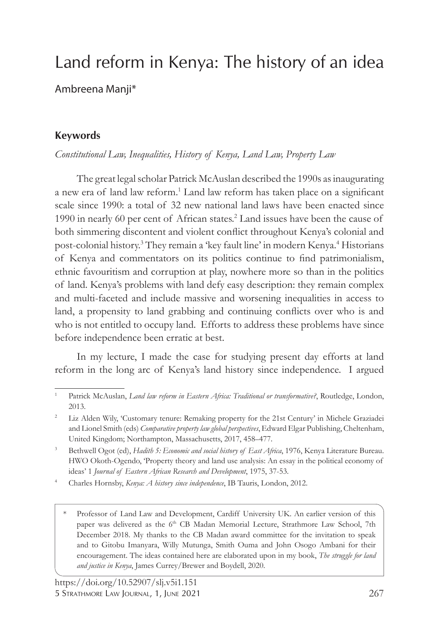# Land reform in Kenya: The history of an idea

Ambreena Manji\*

## **Keywords**

*Constitutional Law, Inequalities, History of Kenya, Land Law, Property Law*

The great legal scholar Patrick McAuslan described the 1990s as inaugurating a new era of land law reform.<sup>1</sup> Land law reform has taken place on a significant scale since 1990: a total of 32 new national land laws have been enacted since 1990 in nearly 60 per cent of African states.<sup>2</sup> Land issues have been the cause of both simmering discontent and violent conflict throughout Kenya's colonial and post-colonial history.<sup>3</sup> They remain a 'key fault line' in modern Kenya.<sup>4</sup> Historians of Kenya and commentators on its politics continue to find patrimonialism, ethnic favouritism and corruption at play, nowhere more so than in the politics of land. Kenya's problems with land defy easy description: they remain complex and multi-faceted and include massive and worsening inequalities in access to land, a propensity to land grabbing and continuing conflicts over who is and who is not entitled to occupy land. Efforts to address these problems have since before independence been erratic at best.

In my lecture, I made the case for studying present day efforts at land reform in the long arc of Kenya's land history since independence. I argued

- <sup>4</sup> Charles Hornsby, *Kenya: A history since independence*, IB Tauris, London, 2012.
	- Professor of Land Law and Development, Cardiff University UK. An earlier version of this paper was delivered as the 6<sup>th</sup> CB Madan Memorial Lecture, Strathmore Law School, 7th December 2018. My thanks to the CB Madan award committee for the invitation to speak and to Gitobu Imanyara, Willy Mutunga, Smith Ouma and John Osogo Ambani for their encouragement. The ideas contained here are elaborated upon in my book, *The struggle for land and justice in Kenya*, James Currey/Brewer and Boydell, 2020.

<sup>1</sup> Patrick McAuslan, *Land law reform in Eastern Africa: Traditional or transformative?*, Routledge, London, 2013.

<sup>&</sup>lt;sup>2</sup> Liz Alden Wily, 'Customary tenure: Remaking property for the 21st Century' in Michele Graziadei and Lionel Smith (eds) *Comparative property law global perspectives*, Edward Elgar Publishing, Cheltenham, United Kingdom; Northampton, Massachusetts, 2017, 458–477.

<sup>&</sup>lt;sup>3</sup> Bethwell Ogot (ed), *Hadith 5: Economic and social history of East Africa*, 1976, Kenya Literature Bureau. HWO Okoth-Ogendo, 'Property theory and land use analysis: An essay in the political economy of ideas' 1 *Journal of Eastern African Research and Development*, 1975, 37-53.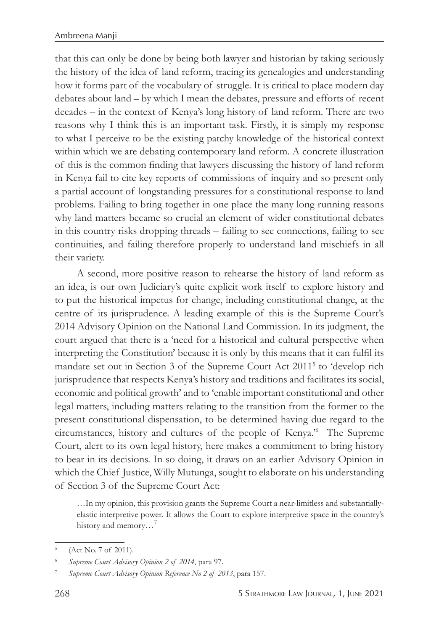that this can only be done by being both lawyer and historian by taking seriously the history of the idea of land reform, tracing its genealogies and understanding how it forms part of the vocabulary of struggle. It is critical to place modern day debates about land – by which I mean the debates, pressure and efforts of recent decades – in the context of Kenya's long history of land reform. There are two reasons why I think this is an important task. Firstly, it is simply my response to what I perceive to be the existing patchy knowledge of the historical context within which we are debating contemporary land reform. A concrete illustration of this is the common finding that lawyers discussing the history of land reform in Kenya fail to cite key reports of commissions of inquiry and so present only a partial account of longstanding pressures for a constitutional response to land problems. Failing to bring together in one place the many long running reasons why land matters became so crucial an element of wider constitutional debates in this country risks dropping threads – failing to see connections, failing to see continuities, and failing therefore properly to understand land mischiefs in all their variety.

A second, more positive reason to rehearse the history of land reform as an idea, is our own Judiciary's quite explicit work itself to explore history and to put the historical impetus for change, including constitutional change, at the centre of its jurisprudence. A leading example of this is the Supreme Court's 2014 Advisory Opinion on the National Land Commission. In its judgment, the court argued that there is a 'need for a historical and cultural perspective when interpreting the Constitution' because it is only by this means that it can fulfil its mandate set out in Section 3 of the Supreme Court Act 20115 to 'develop rich jurisprudence that respects Kenya's history and traditions and facilitates its social, economic and political growth' and to 'enable important constitutional and other legal matters, including matters relating to the transition from the former to the present constitutional dispensation, to be determined having due regard to the circumstances, history and cultures of the people of Kenya.'<sup>6</sup> The Supreme Court, alert to its own legal history, here makes a commitment to bring history to bear in its decisions. In so doing, it draws on an earlier Advisory Opinion in which the Chief Justice, Willy Mutunga, sought to elaborate on his understanding of Section 3 of the Supreme Court Act:

…In my opinion, this provision grants the Supreme Court a near-limitless and substantiallyelastic interpretive power. It allows the Court to explore interpretive space in the country's history and memory...<sup>7</sup>

<sup>(</sup>Act No. 7 of 2011).

<sup>6</sup> *Supreme Court Advisory Opinion 2 of 2014*, para 97.

<sup>7</sup> *Supreme Court Advisory Opinion Reference No 2 of 2013*, para 157.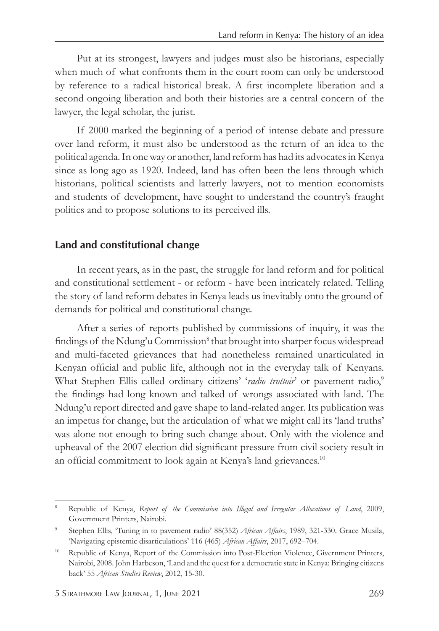Put at its strongest, lawyers and judges must also be historians, especially when much of what confronts them in the court room can only be understood by reference to a radical historical break. A first incomplete liberation and a second ongoing liberation and both their histories are a central concern of the lawyer, the legal scholar, the jurist.

If 2000 marked the beginning of a period of intense debate and pressure over land reform, it must also be understood as the return of an idea to the political agenda. In one way or another, land reform has had its advocates in Kenya since as long ago as 1920. Indeed, land has often been the lens through which historians, political scientists and latterly lawyers, not to mention economists and students of development, have sought to understand the country's fraught politics and to propose solutions to its perceived ills.

#### **Land and constitutional change**

In recent years, as in the past, the struggle for land reform and for political and constitutional settlement - or reform - have been intricately related. Telling the story of land reform debates in Kenya leads us inevitably onto the ground of demands for political and constitutional change.

After a series of reports published by commissions of inquiry, it was the findings of the Ndung'u Commission<sup>8</sup> that brought into sharper focus widespread and multi-faceted grievances that had nonetheless remained unarticulated in Kenyan official and public life, although not in the everyday talk of Kenyans. What Stephen Ellis called ordinary citizens' 'radio trottoir' or pavement radio,<sup>9</sup> the findings had long known and talked of wrongs associated with land. The Ndung'u report directed and gave shape to land-related anger. Its publication was an impetus for change, but the articulation of what we might call its 'land truths' was alone not enough to bring such change about. Only with the violence and upheaval of the 2007 election did significant pressure from civil society result in an official commitment to look again at Kenya's land grievances.<sup>10</sup>

<sup>8</sup> Republic of Kenya, *Report of the Commission into Illegal and Irregular Allocations of Land*, 2009, Government Printers, Nairobi.

<sup>9</sup> Stephen Ellis, 'Tuning in to pavement radio' 88(352) *African Affairs*, 1989, 321-330. Grace Musila, 'Navigating epistemic disarticulations' 116 (465) *African Affairs*, 2017, 692–704.

<sup>&</sup>lt;sup>10</sup> Republic of Kenya, Report of the Commission into Post-Election Violence, Givernment Printers, Nairobi, 2008. John Harbeson, 'Land and the quest for a democratic state in Kenya: Bringing citizens back' 55 *African Studies Review*, 2012, 15-30.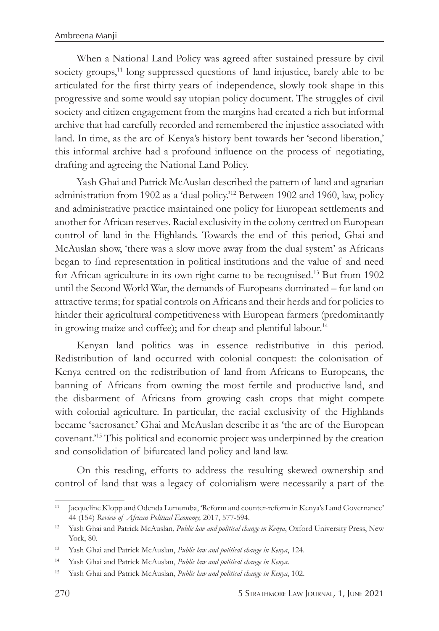When a National Land Policy was agreed after sustained pressure by civil society groups,<sup>11</sup> long suppressed questions of land injustice, barely able to be articulated for the first thirty years of independence, slowly took shape in this progressive and some would say utopian policy document. The struggles of civil society and citizen engagement from the margins had created a rich but informal archive that had carefully recorded and remembered the injustice associated with land. In time, as the arc of Kenya's history bent towards her 'second liberation,' this informal archive had a profound influence on the process of negotiating, drafting and agreeing the National Land Policy.

Yash Ghai and Patrick McAuslan described the pattern of land and agrarian administration from 1902 as a 'dual policy.'<sup>12</sup> Between 1902 and 1960, law, policy and administrative practice maintained one policy for European settlements and another for African reserves. Racial exclusivity in the colony centred on European control of land in the Highlands. Towards the end of this period, Ghai and McAuslan show, 'there was a slow move away from the dual system' as Africans began to find representation in political institutions and the value of and need for African agriculture in its own right came to be recognised.13 But from 1902 until the Second World War, the demands of Europeans dominated – for land on attractive terms; for spatial controls on Africans and their herds and for policies to hinder their agricultural competitiveness with European farmers (predominantly in growing maize and coffee); and for cheap and plentiful labour.<sup>14</sup>

Kenyan land politics was in essence redistributive in this period. Redistribution of land occurred with colonial conquest: the colonisation of Kenya centred on the redistribution of land from Africans to Europeans, the banning of Africans from owning the most fertile and productive land, and the disbarment of Africans from growing cash crops that might compete with colonial agriculture. In particular, the racial exclusivity of the Highlands became 'sacrosanct.' Ghai and McAuslan describe it as 'the arc of the European covenant.'15 This political and economic project was underpinned by the creation and consolidation of bifurcated land policy and land law.

On this reading, efforts to address the resulting skewed ownership and control of land that was a legacy of colonialism were necessarily a part of the

<sup>11</sup> Jacqueline Klopp and Odenda Lumumba, 'Reform and counter-reform in Kenya's Land Governance' 44 (154) *Review of African Political Economy,* 2017, 577-594.

<sup>12</sup> Yash Ghai and Patrick McAuslan, *Public law and political change in Kenya*, Oxford University Press, New York, 80.

<sup>13</sup> Yash Ghai and Patrick McAuslan, *Public law and political change in Kenya*, 124.

<sup>14</sup> Yash Ghai and Patrick McAuslan, *Public law and political change in Kenya*.

<sup>15</sup> Yash Ghai and Patrick McAuslan, *Public law and political change in Kenya*, 102.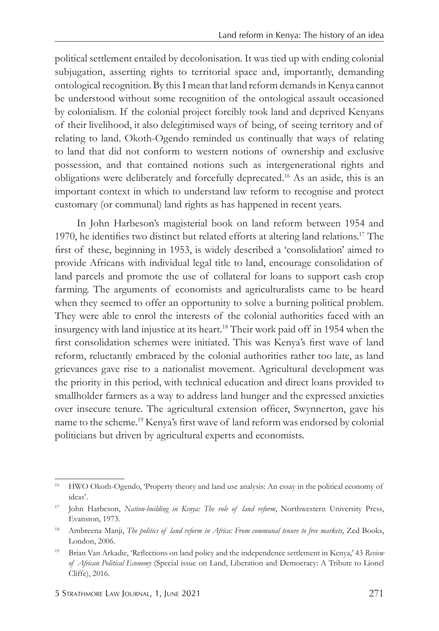political settlement entailed by decolonisation. It was tied up with ending colonial subjugation, asserting rights to territorial space and, importantly, demanding ontological recognition. By this I mean that land reform demands in Kenya cannot be understood without some recognition of the ontological assault occasioned by colonialism. If the colonial project forcibly took land and deprived Kenyans of their livelihood, it also delegitimised ways of being, of seeing territory and of relating to land. Okoth-Ogendo reminded us continually that ways of relating to land that did not conform to western notions of ownership and exclusive possession, and that contained notions such as intergenerational rights and obligations were deliberately and forcefully deprecated.16 As an aside, this is an important context in which to understand law reform to recognise and protect customary (or communal) land rights as has happened in recent years.

In John Harbeson's magisterial book on land reform between 1954 and 1970, he identifies two distinct but related efforts at altering land relations.17 The first of these, beginning in 1953, is widely described a 'consolidation' aimed to provide Africans with individual legal title to land, encourage consolidation of land parcels and promote the use of collateral for loans to support cash crop farming. The arguments of economists and agriculturalists came to be heard when they seemed to offer an opportunity to solve a burning political problem. They were able to enrol the interests of the colonial authorities faced with an insurgency with land injustice at its heart.18 Their work paid off in 1954 when the first consolidation schemes were initiated. This was Kenya's first wave of land reform, reluctantly embraced by the colonial authorities rather too late, as land grievances gave rise to a nationalist movement. Agricultural development was the priority in this period, with technical education and direct loans provided to smallholder farmers as a way to address land hunger and the expressed anxieties over insecure tenure. The agricultural extension officer, Swynnerton, gave his name to the scheme.19 Kenya's first wave of land reform was endorsed by colonial politicians but driven by agricultural experts and economists.

<sup>&</sup>lt;sup>16</sup> HWO Okoth-Ogendo, 'Property theory and land use analysis: An essay in the political economy of ideas'.

<sup>17</sup> John Harbeson, *Nation-building in Kenya: The role of land reform*, Northwestern University Press, Evanston, 1973.

<sup>&</sup>lt;sup>18</sup> Ambreena Manji, *The politics of land reform in Africa: From communal tenure to free markets*, Zed Books, London, 2006.

<sup>19</sup> Brian Van Arkadie, 'Reflections on land policy and the independence settlement in Kenya,' 43 *Review of African Political Economy* (Special issue on Land, Liberation and Democracy: A Tribute to Lionel Cliffe), 2016.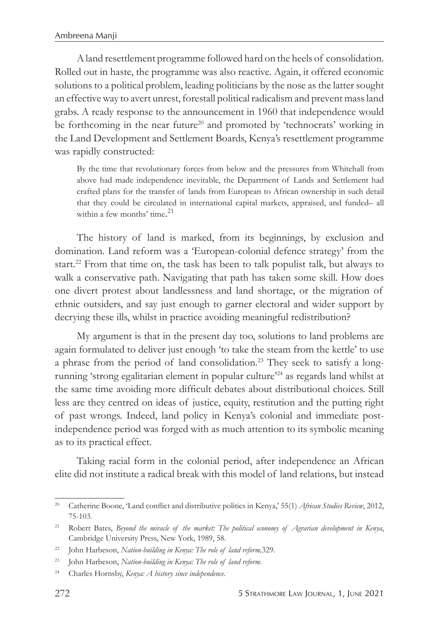A land resettlement programme followed hard on the heels of consolidation. Rolled out in haste, the programme was also reactive. Again, it offered economic solutions to a political problem, leading politicians by the nose as the latter sought an effective way to avert unrest, forestall political radicalism and prevent mass land grabs. A ready response to the announcement in 1960 that independence would be forthcoming in the near future<sup>20</sup> and promoted by 'technocrats' working in the Land Development and Settlement Boards, Kenya's resettlement programme was rapidly constructed:

By the time that revolutionary forces from below and the pressures from Whitehall from above had made independence inevitable, the Department of Lands and Settlement had crafted plans for the transfer of lands from European to African ownership in such detail that they could be circulated in international capital markets, appraised, and funded– all within a few months' time.<sup>21</sup>

The history of land is marked, from its beginnings, by exclusion and domination. Land reform was a 'European-colonial defence strategy' from the start.<sup>22</sup> From that time on, the task has been to talk populist talk, but always to walk a conservative path. Navigating that path has taken some skill. How does one divert protest about landlessness and land shortage, or the migration of ethnic outsiders, and say just enough to garner electoral and wider support by decrying these ills, whilst in practice avoiding meaningful redistribution?

My argument is that in the present day too, solutions to land problems are again formulated to deliver just enough 'to take the steam from the kettle' to use a phrase from the period of land consolidation.23 They seek to satisfy a longrunning 'strong egalitarian element in popular culture'24 as regards land whilst at the same time avoiding more difficult debates about distributional choices. Still less are they centred on ideas of justice, equity, restitution and the putting right of past wrongs. Indeed, land policy in Kenya's colonial and immediate postindependence period was forged with as much attention to its symbolic meaning as to its practical effect.

Taking racial form in the colonial period, after independence an African elite did not institute a radical break with this model of land relations, but instead

<sup>20</sup> Catherine Boone, 'Land conflict and distributive politics in Kenya,' 55(1) *African Studies Review*, 2012, 75-103.

<sup>21</sup> Robert Bates, *Beyond the miracle of the market: The political economy of Agrarian development in Kenya*, Cambridge University Press, New York, 1989, 58.

<sup>22</sup> John Harbeson, *Nation-building in Kenya: The role of land reform,*329.

<sup>23</sup> John Harbeson, *Nation-building in Kenya: The role of land reform*.

<sup>24</sup> Charles Hornsby, *Kenya: A history since independence*.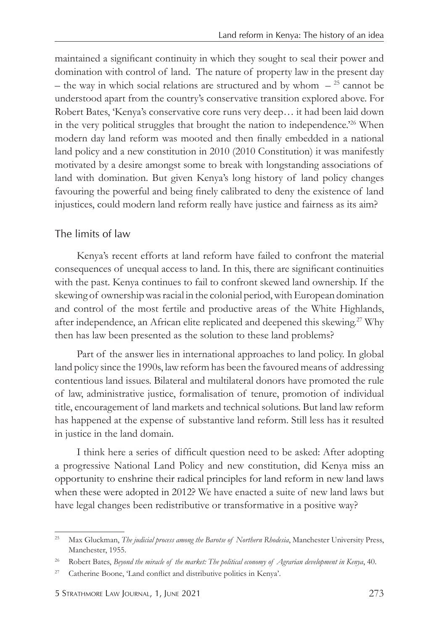maintained a significant continuity in which they sought to seal their power and domination with control of land. The nature of property law in the present day – the way in which social relations are structured and by whom  $-$  <sup>25</sup> cannot be understood apart from the country's conservative transition explored above. For Robert Bates, 'Kenya's conservative core runs very deep… it had been laid down in the very political struggles that brought the nation to independence.'26 When modern day land reform was mooted and then finally embedded in a national land policy and a new constitution in 2010 (2010 Constitution) it was manifestly motivated by a desire amongst some to break with longstanding associations of land with domination. But given Kenya's long history of land policy changes favouring the powerful and being finely calibrated to deny the existence of land injustices, could modern land reform really have justice and fairness as its aim?

#### *The limits of law*

Kenya's recent efforts at land reform have failed to confront the material consequences of unequal access to land. In this, there are significant continuities with the past. Kenya continues to fail to confront skewed land ownership. If the skewing of ownership was racial in the colonial period, with European domination and control of the most fertile and productive areas of the White Highlands, after independence, an African elite replicated and deepened this skewing.27 Why then has law been presented as the solution to these land problems?

Part of the answer lies in international approaches to land policy. In global land policy since the 1990s, law reform has been the favoured means of addressing contentious land issues. Bilateral and multilateral donors have promoted the rule of law, administrative justice, formalisation of tenure, promotion of individual title, encouragement of land markets and technical solutions. But land law reform has happened at the expense of substantive land reform. Still less has it resulted in justice in the land domain.

I think here a series of difficult question need to be asked: After adopting a progressive National Land Policy and new constitution, did Kenya miss an opportunity to enshrine their radical principles for land reform in new land laws when these were adopted in 2012? We have enacted a suite of new land laws but have legal changes been redistributive or transformative in a positive way?

<sup>&</sup>lt;sup>25</sup> Max Gluckman, *The judicial process among the Barotse of Northern Rhodesia*, Manchester University Press, Manchester, 1955.

<sup>&</sup>lt;sup>26</sup> Robert Bates, *Beyond the miracle of the market: The political economy of Agrarian development in Kenya*, 40.

<sup>27</sup> Catherine Boone, 'Land conflict and distributive politics in Kenya'.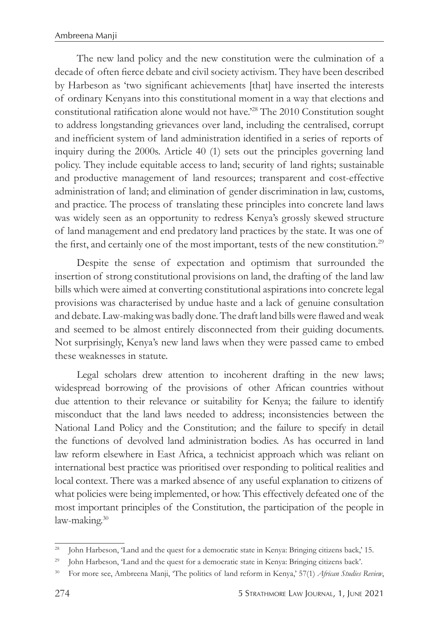The new land policy and the new constitution were the culmination of a decade of often fierce debate and civil society activism. They have been described by Harbeson as 'two significant achievements [that] have inserted the interests of ordinary Kenyans into this constitutional moment in a way that elections and constitutional ratification alone would not have.'28 The 2010 Constitution sought to address longstanding grievances over land, including the centralised, corrupt and inefficient system of land administration identified in a series of reports of inquiry during the 2000s. Article 40 (1) sets out the principles governing land policy. They include equitable access to land; security of land rights; sustainable and productive management of land resources; transparent and cost-effective administration of land; and elimination of gender discrimination in law, customs, and practice. The process of translating these principles into concrete land laws was widely seen as an opportunity to redress Kenya's grossly skewed structure of land management and end predatory land practices by the state. It was one of the first, and certainly one of the most important, tests of the new constitution.<sup>29</sup>

Despite the sense of expectation and optimism that surrounded the insertion of strong constitutional provisions on land, the drafting of the land law bills which were aimed at converting constitutional aspirations into concrete legal provisions was characterised by undue haste and a lack of genuine consultation and debate. Law-making was badly done. The draft land bills were flawed and weak and seemed to be almost entirely disconnected from their guiding documents. Not surprisingly, Kenya's new land laws when they were passed came to embed these weaknesses in statute.

Legal scholars drew attention to incoherent drafting in the new laws; widespread borrowing of the provisions of other African countries without due attention to their relevance or suitability for Kenya; the failure to identify misconduct that the land laws needed to address; inconsistencies between the National Land Policy and the Constitution; and the failure to specify in detail the functions of devolved land administration bodies. As has occurred in land law reform elsewhere in East Africa, a technicist approach which was reliant on international best practice was prioritised over responding to political realities and local context. There was a marked absence of any useful explanation to citizens of what policies were being implemented, or how. This effectively defeated one of the most important principles of the Constitution, the participation of the people in law-making.<sup>30</sup>

<sup>&</sup>lt;sup>28</sup> John Harbeson, 'Land and the quest for a democratic state in Kenya: Bringing citizens back,' 15.

<sup>&</sup>lt;sup>29</sup> John Harbeson, 'Land and the quest for a democratic state in Kenya: Bringing citizens back'.

<sup>30</sup> For more see, Ambreena Manji, 'The politics of land reform in Kenya,' 57(1) *African Studies Review*,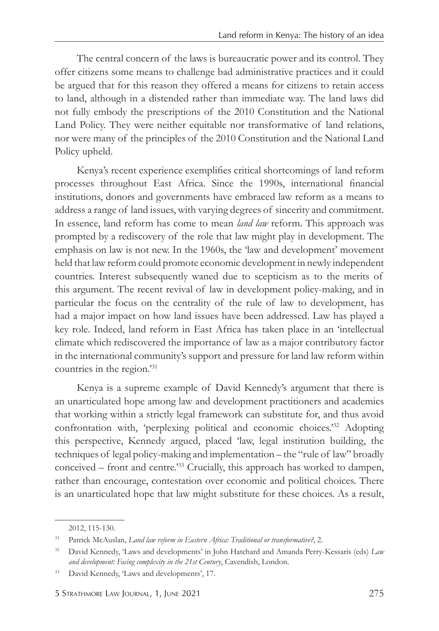The central concern of the laws is bureaucratic power and its control. They offer citizens some means to challenge bad administrative practices and it could be argued that for this reason they offered a means for citizens to retain access to land, although in a distended rather than immediate way. The land laws did not fully embody the prescriptions of the 2010 Constitution and the National Land Policy. They were neither equitable nor transformative of land relations, nor were many of the principles of the 2010 Constitution and the National Land Policy upheld.

Kenya's recent experience exemplifies critical shortcomings of land reform processes throughout East Africa. Since the 1990s, international financial institutions, donors and governments have embraced law reform as a means to address a range of land issues, with varying degrees of sincerity and commitment. In essence, land reform has come to mean *land law* reform. This approach was prompted by a rediscovery of the role that law might play in development. The emphasis on law is not new. In the 1960s, the 'law and development' movement held that law reform could promote economic development in newly independent countries. Interest subsequently waned due to scepticism as to the merits of this argument. The recent revival of law in development policy-making, and in particular the focus on the centrality of the rule of law to development, has had a major impact on how land issues have been addressed. Law has played a key role. Indeed, land reform in East Africa has taken place in an 'intellectual climate which rediscovered the importance of law as a major contributory factor in the international community's support and pressure for land law reform within countries in the region.'<sup>31</sup>

Kenya is a supreme example of David Kennedy's argument that there is an unarticulated hope among law and development practitioners and academics that working within a strictly legal framework can substitute for, and thus avoid confrontation with, 'perplexing political and economic choices.'32 Adopting this perspective, Kennedy argued, placed 'law, legal institution building, the techniques of legal policy-making and implementation – the "rule of law" broadly conceived – front and centre.'<sup>33</sup> Crucially, this approach has worked to dampen, rather than encourage, contestation over economic and political choices. There is an unarticulated hope that law might substitute for these choices. As a result,

<sup>2012, 115-130.</sup>

<sup>31</sup> Patrick McAuslan, *Land law reform in Eastern Africa: Traditional or transformative?*, 2.

<sup>32</sup> David Kennedy, 'Laws and developments' in John Hatchard and Amanda Perry-Kessaris (eds) *Law and development: Facing complexity in the 21st Century*, Cavendish, London.

<sup>&</sup>lt;sup>33</sup> David Kennedy, 'Laws and developments', 17.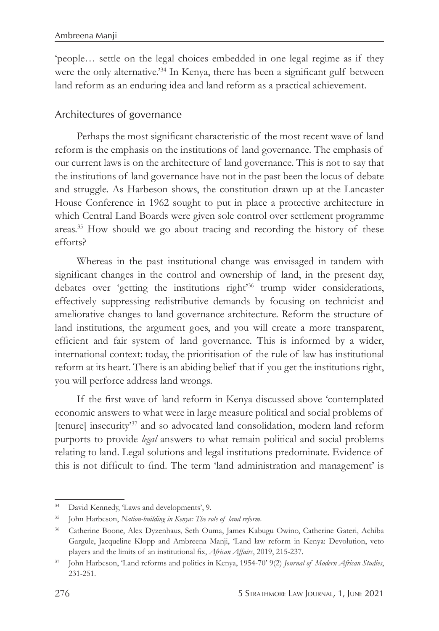'people… settle on the legal choices embedded in one legal regime as if they were the only alternative.<sup>34</sup> In Kenya, there has been a significant gulf between land reform as an enduring idea and land reform as a practical achievement.

#### *Architectures of governance*

Perhaps the most significant characteristic of the most recent wave of land reform is the emphasis on the institutions of land governance. The emphasis of our current laws is on the architecture of land governance. This is not to say that the institutions of land governance have not in the past been the locus of debate and struggle. As Harbeson shows, the constitution drawn up at the Lancaster House Conference in 1962 sought to put in place a protective architecture in which Central Land Boards were given sole control over settlement programme areas.<sup>35</sup> How should we go about tracing and recording the history of these efforts?

Whereas in the past institutional change was envisaged in tandem with significant changes in the control and ownership of land, in the present day, debates over 'getting the institutions right'<sup>36</sup> trump wider considerations, effectively suppressing redistributive demands by focusing on technicist and ameliorative changes to land governance architecture. Reform the structure of land institutions, the argument goes, and you will create a more transparent, efficient and fair system of land governance. This is informed by a wider, international context: today, the prioritisation of the rule of law has institutional reform at its heart. There is an abiding belief that if you get the institutions right, you will perforce address land wrongs.

If the first wave of land reform in Kenya discussed above 'contemplated economic answers to what were in large measure political and social problems of [tenure] insecurity'<sup>37</sup> and so advocated land consolidation, modern land reform purports to provide *legal* answers to what remain political and social problems relating to land. Legal solutions and legal institutions predominate. Evidence of this is not difficult to find. The term 'land administration and management' is

<sup>34</sup> David Kennedy, 'Laws and developments', 9.

<sup>35</sup> John Harbeson, *Nation-building in Kenya: The role of land reform*.

<sup>36</sup> Catherine Boone, Alex Dyzenhaus, Seth Ouma, James Kabugu Owino, Catherine Gateri, Achiba Gargule, Jacqueline Klopp and Ambreena Manji, 'Land law reform in Kenya: Devolution, veto players and the limits of an institutional fix, *African Affairs*, 2019, 215-237.

<sup>37</sup> John Harbeson, 'Land reforms and politics in Kenya, 1954-70' 9(2) *Journal of Modern African Studies*, 231-251.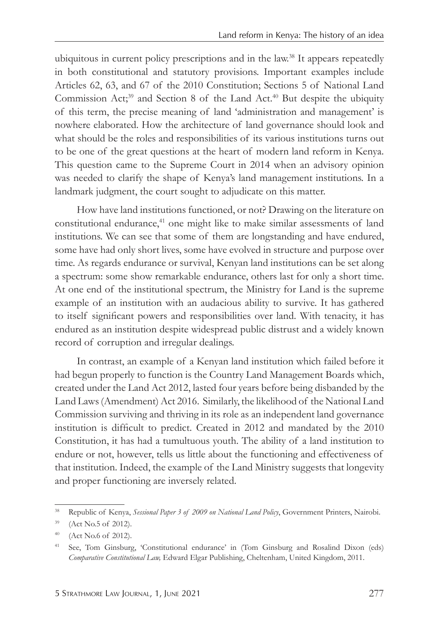ubiquitous in current policy prescriptions and in the law.<sup>38</sup> It appears repeatedly in both constitutional and statutory provisions. Important examples include Articles 62, 63, and 67 of the 2010 Constitution; Sections 5 of National Land Commission Act;<sup>39</sup> and Section 8 of the Land Act.<sup>40</sup> But despite the ubiquity of this term, the precise meaning of land 'administration and management' is nowhere elaborated. How the architecture of land governance should look and what should be the roles and responsibilities of its various institutions turns out to be one of the great questions at the heart of modern land reform in Kenya. This question came to the Supreme Court in 2014 when an advisory opinion was needed to clarify the shape of Kenya's land management institutions. In a landmark judgment, the court sought to adjudicate on this matter.

How have land institutions functioned, or not? Drawing on the literature on constitutional endurance,<sup>41</sup> one might like to make similar assessments of land institutions. We can see that some of them are longstanding and have endured, some have had only short lives, some have evolved in structure and purpose over time. As regards endurance or survival, Kenyan land institutions can be set along a spectrum: some show remarkable endurance, others last for only a short time. At one end of the institutional spectrum, the Ministry for Land is the supreme example of an institution with an audacious ability to survive. It has gathered to itself significant powers and responsibilities over land. With tenacity, it has endured as an institution despite widespread public distrust and a widely known record of corruption and irregular dealings.

In contrast, an example of a Kenyan land institution which failed before it had begun properly to function is the Country Land Management Boards which, created under the Land Act 2012, lasted four years before being disbanded by the Land Laws (Amendment) Act 2016. Similarly, the likelihood of the National Land Commission surviving and thriving in its role as an independent land governance institution is difficult to predict. Created in 2012 and mandated by the 2010 Constitution, it has had a tumultuous youth. The ability of a land institution to endure or not, however, tells us little about the functioning and effectiveness of that institution. Indeed, the example of the Land Ministry suggests that longevity and proper functioning are inversely related.

<sup>38</sup> Republic of Kenya, *Sessional Paper 3 of 2009 on National Land Policy*, Government Printers, Nairobi.

<sup>39</sup> (Act No.5 of 2012).

<sup>40</sup> (Act No.6 of 2012).

<sup>41</sup> See, Tom Ginsburg, 'Constitutional endurance' in (Tom Ginsburg and Rosalind Dixon (eds) *Comparative Constitutional Law,* Edward Elgar Publishing, Cheltenham, United Kingdom, 2011.